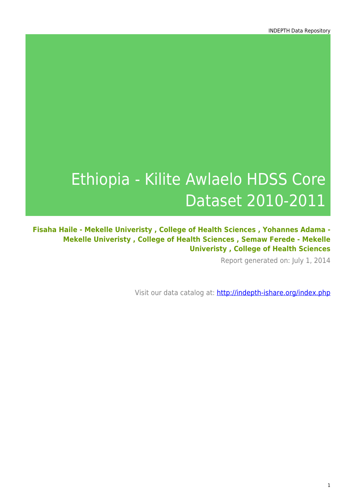# Ethiopia - Kilite Awlaelo HDSS Core Dataset 2010-2011

**Fisaha Haile - Mekelle Univeristy , College of Health Sciences , Yohannes Adama - Mekelle Univeristy , College of Health Sciences , Semaw Ferede - Mekelle Univeristy , College of Health Sciences**

Report generated on: July 1, 2014

Visit our data catalog at: http://indepth-ishare.org/index.php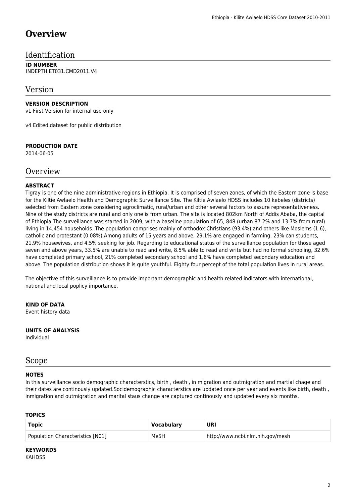# **Overview**

#### Identification

**ID NUMBER** INDEPTH.ET031.CMD2011.V4

### Version

#### **VERSION DESCRIPTION**

v1 First Version for internal use only

v4 Edited dataset for public distribution

#### **PRODUCTION DATE**

2014-06-05

#### **Overview**

#### **ABSTRACT**

Tigray is one of the nine administrative regions in Ethiopia. It is comprised of seven zones, of which the Eastern zone is base for the Kiltie Awlaelo Health and Demographic Surveillance Site. The Kiltie Awlaelo HDSS includes 10 kebeles (districts) selected from Eastern zone considering agroclimatic, rural/urban and other several factors to assure representativeness. Nine of the study districts are rural and only one is from urban. The site is located 802km North of Addis Ababa, the capital of Ethiopia.The surveillance was started in 2009, with a baseline population of 65, 848 (urban 87.2% and 13.7% from rural) living in 14,454 households. The population comprises mainly of orthodox Christians (93.4%) and others like Moslems (1.6), catholic and protestant (0.08%).Among adults of 15 years and above, 29.1% are engaged in farming, 23% can students, 21.9% housewives, and 4.5% seeking for job. Regarding to educational status of the surveillance population for those aged seven and above years, 33.5% are unable to read and write, 8.5% able to read and write but had no formal schooling, 32.6% have completed primary school, 21% completed secondary school and 1.6% have completed secondary education and above. The population distribution shows it is quite youthful. Eighty four percept of the total population lives in rural areas.

The objective of this surveillance is to provide important demographic and health related indicators with international, national and local poplicy importance.

#### **KIND OF DATA**

Event history data

#### **UNITS OF ANALYSIS**

Individual

#### Scope

#### **NOTES**

In this surveillance socio demographic characterstics, birth , death , in migration and outmigration and martial chage and their dates are continously updated.Socidemographic characterstics are updated once per year and events like birth, death , inmigration and outmigration and marital staus change are captured continously and updated every six months.

#### **TOPICS**

| <b>Topic</b>                     | Vocabulary | URI                              |
|----------------------------------|------------|----------------------------------|
| Population Characteristics [N01] | MeSH       | http://www.ncbi.nlm.nih.gov/mesh |

**KEYWORDS KAHDSS**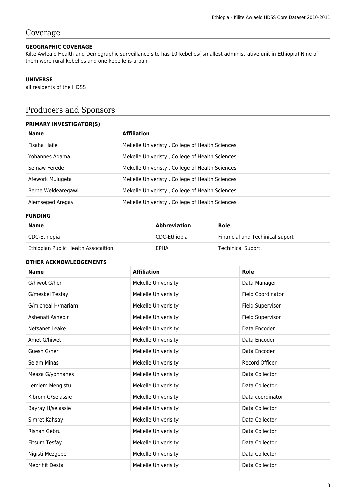### Coverage

#### **GEOGRAPHIC COVERAGE**

Kilte Awlealo Health and Demographic surveillance site has 10 kebelles( smallest administrative unit in Ethiopia).Nine of them were rural kebelles and one kebelle is urban.

#### **UNIVERSE**

all residents of the HDSS

# Producers and Sponsors

| <b>PRIMARY INVESTIGATOR(S)</b> |                                                |  |
|--------------------------------|------------------------------------------------|--|
| <b>Name</b>                    | <b>Affiliation</b>                             |  |
| Fisaha Haile                   | Mekelle Univeristy, College of Health Sciences |  |
| Yohannes Adama                 | Mekelle Univeristy, College of Health Sciences |  |
| Semaw Ferede                   | Mekelle Univeristy, College of Health Sciences |  |
| Afework Mulugeta               | Mekelle Univeristy, College of Health Sciences |  |
| Berhe Weldearegawi             | Mekelle Univeristy, College of Health Sciences |  |
| Alemseged Aregay               | Mekelle Univeristy, College of Health Sciences |  |

#### **FUNDING**

| <b>Name</b>                         | <b>Abbreviation</b> | Role                            |
|-------------------------------------|---------------------|---------------------------------|
| CDC-Ethiopia                        | CDC-Ethiopia        | Financial and Techinical suport |
| Ethiopian Public Health Assocaition | <b>EPHA</b>         | <b>Techinical Suport</b>        |

#### **OTHER ACKNOWLEDGEMENTS**

| <b>Name</b>        | <b>Affiliation</b>  | Role                     |
|--------------------|---------------------|--------------------------|
| G/hiwot G/her      | Mekelle Univerisity | Data Manager             |
| G/meskel Tesfay    | Mekelle Univerisity | <b>Field Coordinator</b> |
| G/micheal H/mariam | Mekelle Univerisity | Field Supervisor         |
| Ashenafi Ashebir   | Mekelle Univerisity | Field Supervisor         |
| Netsanet Leake     | Mekelle Univerisity | Data Encoder             |
| Amet G/hiwet       | Mekelle Univerisity | Data Encoder             |
| Guesh G/her        | Mekelle Univerisity | Data Encoder             |
| Selam Minas        | Mekelle Univerisity | Record Officer           |
| Meaza G/yohhanes   | Mekelle Univerisity | Data Collector           |
| Lemlem Mengistu    | Mekelle Univerisity | Data Collector           |
| Kibrom G/Selassie  | Mekelle Univerisity | Data coordinator         |
| Bayray H/selassie  | Mekelle Univerisity | Data Collector           |
| Simret Kahsay      | Mekelle Univerisity | Data Collector           |
| Rishan Gebru       | Mekelle Univerisity | Data Collector           |
| Fitsum Tesfay      | Mekelle Univerisity | Data Collector           |
| Nigisti Mezgebe    | Mekelle Univerisity | Data Collector           |
| Mebrihit Desta     | Mekelle Univerisity | Data Collector           |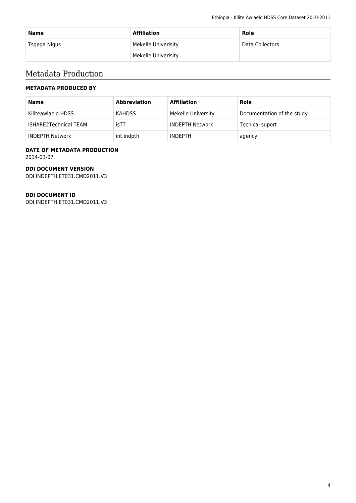| <b>Name</b>  | <b>Affiliation</b>  | Role            |
|--------------|---------------------|-----------------|
| Tsgega Nigus | Mekelle Univerisity | Data Collectors |
|              | Mekelle Univerisity |                 |

### Metadata Production

#### **METADATA PRODUCED BY**

| <b>Name</b>            | <b>Abbreviation</b> | <b>Affiliation</b>     | Role                       |
|------------------------|---------------------|------------------------|----------------------------|
| Kiliteawlaelo HDSS     | <b>KAHDSS</b>       | Mekelle University     | Documentation of the study |
| ISHARE2Technical TEAM  | isTT                | <b>INDEPTH Network</b> | Techical suport            |
| <b>INDEPTH Network</b> | int.indpth          | <b>INDEPTH</b>         | agency                     |

#### **DATE OF METADATA PRODUCTION**

2014-03-07

#### **DDI DOCUMENT VERSION**

DDI.INDEPTH.ET031.CMD2011.V3

#### **DDI DOCUMENT ID**

DDI.INDEPTH.ET031.CMD2011.V3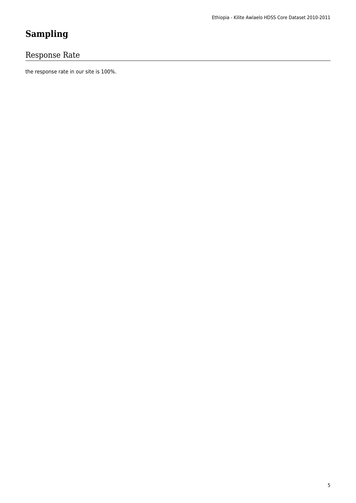# **Sampling**

### Response Rate

the response rate in our site is 100%.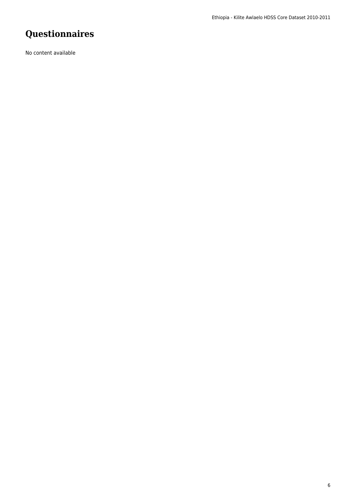# **Questionnaires**

No content available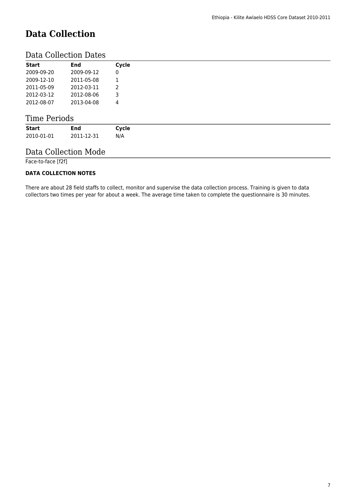# **Data Collection**

### Data Collection Dates

| Start        | <b>End</b> | Cycle |  |
|--------------|------------|-------|--|
| 2009-09-20   | 2009-09-12 | 0     |  |
| 2009-12-10   | 2011-05-08 | 1     |  |
| 2011-05-09   | 2012-03-11 | 2     |  |
| 2012-03-12   | 2012-08-06 | 3     |  |
| 2012-08-07   | 2013-04-08 | 4     |  |
| Time Periods |            |       |  |
| <b>Start</b> | <b>End</b> | Cycle |  |
| 2010-01-01   | 2011-12-31 | N/A   |  |

### Data Collection Mode

Face-to-face [f2f]

#### **DATA COLLECTION NOTES**

There are about 28 field staffs to collect, monitor and supervise the data collection process. Training is given to data collectors two times per year for about a week. The average time taken to complete the questionnaire is 30 minutes.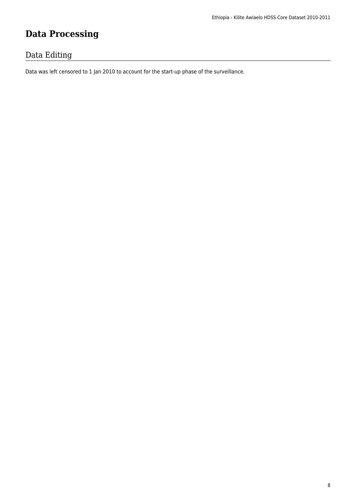# **Data Processing**

### Data Editing

Data was left censored to 1 Jan 2010 to account for the start-up phase of the surveillance.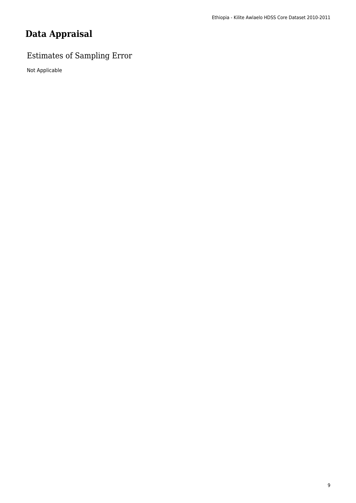# **Data Appraisal**

# Estimates of Sampling Error

Not Applicable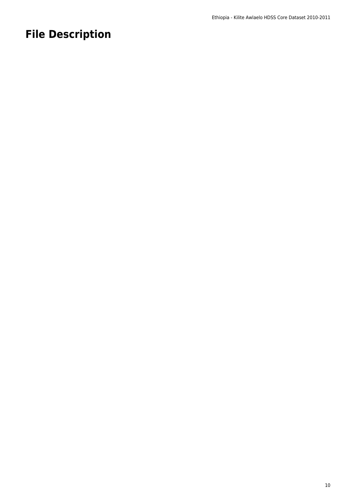# **File Description**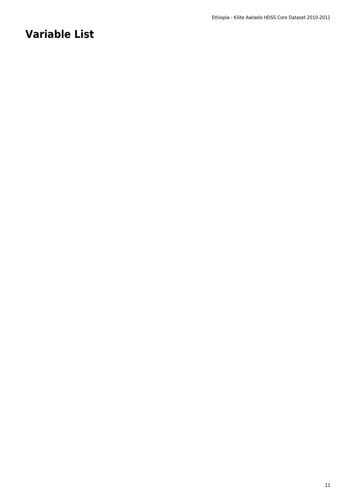# **Variable List**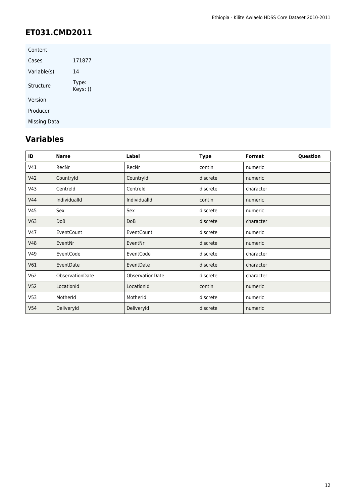# **ET031.CMD2011**

| Content             |                   |  |  |
|---------------------|-------------------|--|--|
| Cases               | 171877            |  |  |
| Variable(s)         | 14                |  |  |
| Structure           | Type:<br>Keys: () |  |  |
| Version             |                   |  |  |
| Producer            |                   |  |  |
| <b>Missing Data</b> |                   |  |  |

# **Variables**

| ID              | <b>Name</b>     | Label           | <b>Type</b> | Format    | Question |
|-----------------|-----------------|-----------------|-------------|-----------|----------|
| V41             | RecNr           | RecNr           | contin      | numeric   |          |
| V42             | CountryId       | CountryId       | discrete    | numeric   |          |
| V43             | Centreld        | Centreld        | discrete    | character |          |
| V44             | IndividualId    | IndividualId    | contin      | numeric   |          |
| V45             | Sex             | Sex             | discrete    | numeric   |          |
| V63             | <b>DoB</b>      | <b>DoB</b>      | discrete    | character |          |
| V47             | EventCount      | EventCount      | discrete    | numeric   |          |
| V48             | EventNr         | EventNr         | discrete    | numeric   |          |
| V49             | EventCode       | EventCode       | discrete    | character |          |
| V61             | EventDate       | EventDate       | discrete    | character |          |
| V62             | ObservationDate | ObservationDate | discrete    | character |          |
| V <sub>52</sub> | LocationId      | LocationId      | contin      | numeric   |          |
| V <sub>53</sub> | MotherId        | MotherId        | discrete    | numeric   |          |
| V54             | DeliveryId      | DeliveryId      | discrete    | numeric   |          |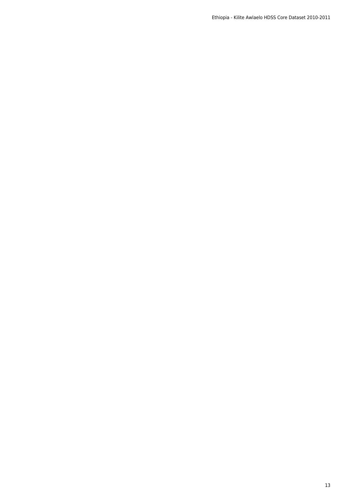Ethiopia - Kilite Awlaelo HDSS Core Dataset 2010-2011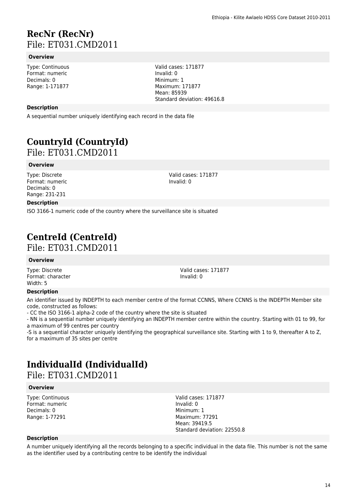# **RecNr (RecNr)**  File: ET031.CMD2011

#### **Overview**

Type: Continuous Format: numeric Decimals: 0 Range: 1-171877

Valid cases: 171877 Invalid: 0 Minimum: 1 Maximum: 171877 Mean: 85939 Standard deviation: 49616.8

#### **Description**

A sequential number uniquely identifying each record in the data file

# **CountryId (CountryId)**

File: ET031.CMD2011

#### **Overview**

Type: Discrete Format: numeric Decimals: 0 Range: 231-231

Valid cases: 171877 Invalid: 0

Valid cases: 171877

Invalid: 0

#### **Description**

ISO 3166-1 numeric code of the country where the surveillance site is situated

# **CentreId (CentreId)**

File: ET031.CMD2011

#### **Overview**

Type: Discrete Format: character Width: 5

#### **Description**

An identifier issued by INDEPTH to each member centre of the format CCNNS, Where CCNNS is the INDEPTH Member site code, constructed as follows:

- CC the ISO 3166-1 alpha-2 code of the country where the site is situated

- NN is a sequential number uniquely identifying an INDEPTH member centre within the country. Starting with 01 to 99, for a maximum of 99 centres per country

-S is a sequential character uniquely identifying the geographical surveillance site. Starting with 1 to 9, thereafter A to Z, for a maximum of 35 sites per centre

# **IndividualId (IndividualId)**

File: ET031.CMD2011

#### **Overview**

Type: Continuous Format: numeric Decimals: 0 Range: 1-77291

Valid cases: 171877 Invalid: 0 Minimum: 1 Maximum: 77291 Mean: 39419.5 Standard deviation: 22550.8

#### **Description**

A number uniquely identifying all the records belonging to a specific individual in the data file. This number is not the same as the identifier used by a contributing centre to be identify the individual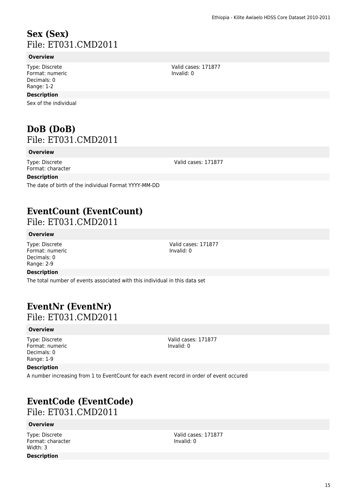# **Sex (Sex)**  File: ET031.CMD2011

#### **Overview**

Type: Discrete Format: numeric Decimals: 0 Range: 1-2

#### **Description**

Sex of the individual

# **DoB (DoB)**  File: ET031.CMD2011

#### **Overview**

Type: Discrete Format: character

#### Valid cases: 171877

#### **Description**

The date of birth of the individual Format YYYY-MM-DD

### **EventCount (EventCount)**  File: ET031.CMD2011

#### **Overview**

Type: Discrete Format: numeric Decimals: 0 Range: 2-9

#### **Description**

The total number of events associated with this individual in this data set

### **EventNr (EventNr)**  File: ET031.CMD2011

#### **Overview**

Type: Discrete Format: numeric Decimals: 0 Range: 1-9

Valid cases: 171877 Invalid: 0

Valid cases: 171877

Invalid: 0

#### **Description**

A number increasing from 1 to EventCount for each event record in order of event occured

### **EventCode (EventCode)**  File: ET031.CMD2011

#### **Overview**

Type: Discrete Format: character Width: 3 **Description**

Valid cases: 171877 Invalid: 0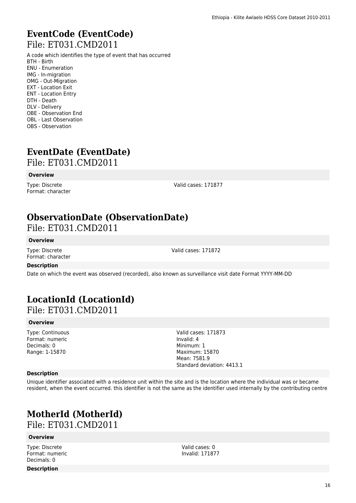### **EventCode (EventCode)**  File: ET031.CMD2011

A code which identifies the type of event that has occurred BTH - Birth ENU - Enumeration IMG - In-migration OMG - Out-Migration EXT - Location Exit ENT - Location Entry DTH - Death DLV - Delivery OBE - Observation End

- OBL Last Observation
- OBS Observation

### **EventDate (EventDate)**  File: ET031.CMD2011

### **Overview**

Type: Discrete Format: character

Valid cases: 171877

# **ObservationDate (ObservationDate)**

File: ET031.CMD2011

#### **Overview**

Type: Discrete Format: character Valid cases: 171872

#### **Description**

Date on which the event was observed (recorded), also known as surveillance visit date Format YYYY-MM-DD

# **LocationId (LocationId)**

File: ET031.CMD2011

#### **Overview**

Type: Continuous Format: numeric Decimals: 0 Range: 1-15870

Valid cases: 171873 Invalid: 4 Minimum: 1 Maximum: 15870 Mean: 7581.9 Standard deviation: 4413.1

#### **Description**

Unique identifier associated with a residence unit within the site and is the location where the individual was or became resident, when the event occurred. this identifier is not the same as the identifier used internally by the contributing centre

### **MotherId (MotherId)**  File: ET031.CMD2011

#### **Overview**

Type: Discrete Format: numeric Decimals: 0 **Description**

Valid cases: 0 Invalid: 171877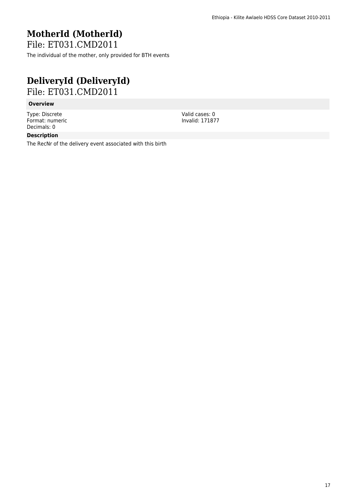# **MotherId (MotherId)**

File: ET031.CMD2011

The individual of the mother, only provided for BTH events

# **DeliveryId (DeliveryId)**  File: ET031.CMD2011

#### **Overview**

Type: Discrete Format: numeric Decimals: 0

Valid cases: 0 Invalid: 171877

#### **Description**

The RecNr of the delivery event associated with this birth